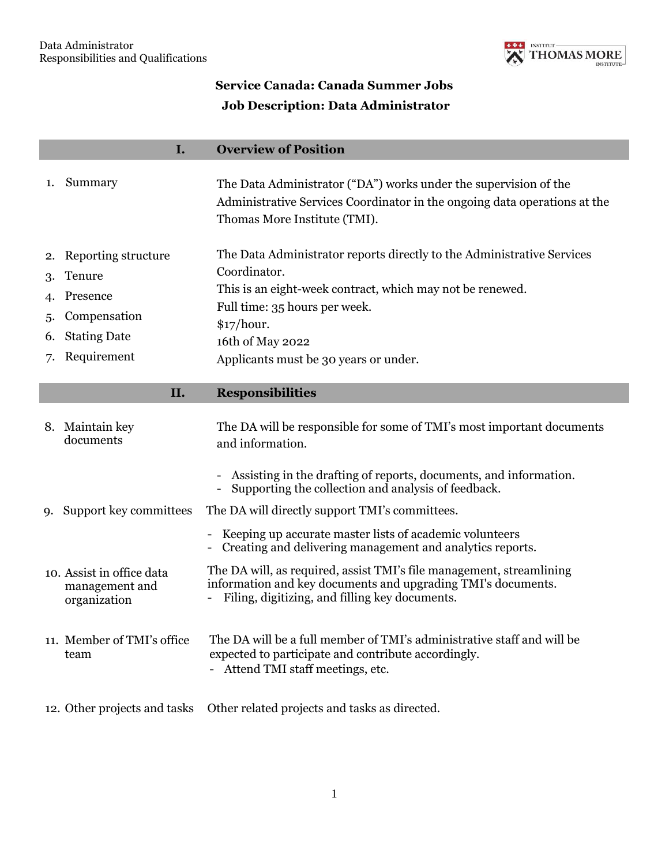

## **Service Canada: Canada Summer Jobs Job Description: Data Administrator**

## **I. Overview of Position**

|    | Summary                | The Data Administrator ("DA") works under the supervision of the<br>Administrative Services Coordinator in the ongoing data operations at the<br>Thomas More Institute (TMI). |
|----|------------------------|-------------------------------------------------------------------------------------------------------------------------------------------------------------------------------|
|    | 2. Reporting structure | The Data Administrator reports directly to the Administrative Services                                                                                                        |
|    | 3. Tenure              | Coordinator.                                                                                                                                                                  |
|    | 4. Presence            | This is an eight-week contract, which may not be renewed.                                                                                                                     |
|    |                        | Full time: 35 hours per week.                                                                                                                                                 |
| 5. | Compensation           | \$17/hour.<br>16th of May 2022<br>Applicants must be 30 years or under.                                                                                                       |
| 6. | <b>Stating Date</b>    |                                                                                                                                                                               |
|    | 7. Requirement         |                                                                                                                                                                               |
|    |                        |                                                                                                                                                                               |

## **II. Responsibilities**

| 8. Maintain key<br>documents                                | The DA will be responsible for some of TMI's most important documents<br>and information.                                                                                              |
|-------------------------------------------------------------|----------------------------------------------------------------------------------------------------------------------------------------------------------------------------------------|
|                                                             | - Assisting in the drafting of reports, documents, and information.<br>- Supporting the collection and analysis of feedback.                                                           |
| 9. Support key committees                                   | The DA will directly support TMI's committees.                                                                                                                                         |
|                                                             | - Keeping up accurate master lists of academic volunteers<br>Creating and delivering management and analytics reports.                                                                 |
| 10. Assist in office data<br>management and<br>organization | The DA will, as required, assist TMI's file management, streamlining<br>information and key documents and upgrading TMI's documents.<br>Filing, digitizing, and filling key documents. |
| 11. Member of TMI's office<br>team                          | The DA will be a full member of TMI's administrative staff and will be<br>expected to participate and contribute accordingly.<br>- Attend TMI staff meetings, etc.                     |
| 12. Other projects and tasks                                | Other related projects and tasks as directed.                                                                                                                                          |